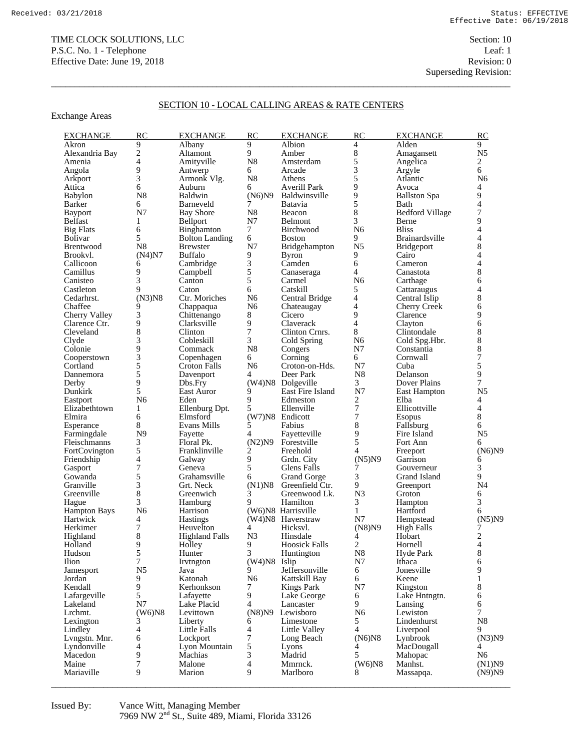Exchange Areas

Superseding Revision:

## SECTION 10 - LOCAL CALLING AREAS & RATE CENTERS

 $\overline{a_1}$  ,  $\overline{a_2}$  ,  $\overline{a_3}$  ,  $\overline{a_4}$  ,  $\overline{a_5}$  ,  $\overline{a_6}$  ,  $\overline{a_7}$  ,  $\overline{a_8}$  ,  $\overline{a_9}$  ,  $\overline{a_9}$  ,  $\overline{a_9}$  ,  $\overline{a_9}$  ,  $\overline{a_9}$  ,  $\overline{a_9}$  ,  $\overline{a_9}$  ,  $\overline{a_9}$  ,  $\overline{a_9}$  ,

| EXCHANGE       | RC           | <b>EXCHANGE</b> | RC | <b>EXCHANGE</b> | RC | <b>EXCHANGE</b>                                     | R      |
|----------------|--------------|-----------------|----|-----------------|----|-----------------------------------------------------|--------|
| Akron          |              | Albany          |    | Albion          |    | Alden                                               |        |
| Alexandria Bay |              | Altamont        |    | Amber           |    | Amagansett                                          |        |
| Amenia         |              | Amityville      | N8 | Amsterdam       |    | Angelica                                            |        |
| Angola         |              | Antwerp         |    | Arcade          |    | Argyle                                              |        |
| Arkport        |              | Armonk Vlg.     | N8 | Athens          |    | Atlantic                                            |        |
| Attica         |              | Auburn          |    | Averill Park    |    | Avoca                                               |        |
| <b>D</b> 1 1   | $\mathbf{r}$ | <b>D</b> 11 ·   |    | (11)<br>        |    | $\mathbf{r}$ $\mathbf{r}$ $\mathbf{r}$ $\mathbf{r}$ | $\sim$ |

| <b>EXCHANGE</b>        | RC             | <b>EXCHANGE</b>       | RC             | <b>EXCHANGE</b>      | RC                      | <b>EXCHANGE</b>             | RC                      |
|------------------------|----------------|-----------------------|----------------|----------------------|-------------------------|-----------------------------|-------------------------|
| Akron                  | 9              | Albany                | 9              | Albion               | 4                       | Alden                       | 9                       |
| Alexandria Bay         | $\overline{c}$ | Altamont              | 9              | Amber                | 8                       | Amagansett                  | N <sub>5</sub>          |
| Amenia                 | $\overline{4}$ | Amityville            | N8             | Amsterdam            | 5                       | Angelica                    | 2                       |
| Angola                 | 9              | Antwerp               | 6              | Arcade               | 3                       | Argyle                      | 6                       |
| Arkport                | 3              | Armonk Vlg.           | N8             | Athens               | 5                       | Atlantic                    | N <sub>6</sub>          |
| Attica                 | 6              | Auburn                | 6              | Averill Park         | 9                       | Avoca                       | 4                       |
| Babylon                | N <sub>8</sub> | Baldwin               | (N6)N9         | Baldwinsville        | 9                       | <b>Ballston Spa</b>         |                         |
| Barker                 | 6              | Barneveld             | 7              | <b>Batavia</b>       | 5                       | Bath                        | 9<br>4                  |
| <b>Bayport</b>         | N7             | <b>Bay Shore</b>      | N8             | Beacon               | 8                       | <b>Bedford Village</b>      | 7                       |
| <b>Belfast</b>         | 1              | Bellport              | N7             | Belmont              | 3                       | Berne                       | 9                       |
| <b>Big Flats</b>       | 6              | Binghamton            | $\tau$         | Birchwood            | N <sub>6</sub>          | <b>Bliss</b>                | 4                       |
| Bolivar                | 5              | <b>Bolton Landing</b> | 6              | <b>Boston</b>        | 9                       | <b>Brainardsville</b>       | 4                       |
| Brentwood              | N <sub>8</sub> | <b>Brewster</b>       | N7             | Bridgehampton        | N <sub>5</sub>          | <b>Bridgeport</b>           | 8                       |
| Brookvl.               | (N4)N7         | <b>Buffalo</b>        | $\overline{9}$ | <b>Byron</b>         | 9                       | Cairo                       | $\overline{4}$          |
| Callicoon              | 6              | Cambridge             | $\overline{3}$ | Camden               | 6                       | Cameron                     | 4                       |
| Camillus               | 9              | Campbell              | 5              | Canaseraga           | 4                       | Canastota                   | 8                       |
| Canisteo               | 3              | Canton                | 5              | Carmel               | N <sub>6</sub>          | Carthage                    | 6                       |
| Castleton              | 9              | Caton                 | 6              | Catskill             | 5                       | Cattaraugus                 | 4                       |
| Cedarhrst.             | $(N3)$ N8      | Ctr. Moriches         | N <sub>6</sub> | Central Bridge       | 4                       | Central Islip               | 8                       |
| Chaffee                | 9              | Chappaqua             | N <sub>6</sub> | Chateaugay           | 4                       | <b>Cherry Creek</b>         | 6                       |
| Cherry Valley          | 3              | Chittenango           | $\,8\,$        | Cicero               | 9                       | Clarence                    |                         |
| Clarence Ctr.          | 9              | Clarksville           | 9              | Claverack            | $\overline{\mathbf{4}}$ | Clayton                     | 9<br>6                  |
| Cleveland              | 8              | Clinton               | $\overline{7}$ | Clinton Crnrs.       | 8                       | Clintondale                 | 8                       |
| Clyde                  | 3              | Cobleskill            | 3              | Cold Spring          | N <sub>6</sub>          | Cold Spg.Hbr.               | 8                       |
| Colonie                | 9              | Commack               | N8             | Congers              | N7                      | Constantia                  |                         |
| Cooperstown            | $\overline{3}$ | Copenhagen            | 6              | Corning              | 6                       | Cornwall                    | $\frac{8}{7}$           |
| Cortland               | 5              | <b>Croton Falls</b>   | N <sub>6</sub> | Croton-on-Hds.       | N7                      | Cuba                        | 5                       |
| Dannemora              | 5              | Davenport             | 4              | Deer Park            | N8                      | Delanson                    | 9                       |
| Derby                  | 9              | Dbs.Fry               |                | (W4)N8 Dolgeville    | 3                       | Dover Plains                | 7                       |
| Dunkirk                | 5              | East Auror            | 9              | East Fire Island     | N7                      | East Hampton                | N <sub>5</sub>          |
| Eastport               | N <sub>6</sub> | Eden                  | 9              | Edmeston             | 2                       | Elba                        | 4                       |
| Elizabethtown          | 1              | Ellenburg Dpt.        | 5              | Ellenville           | $\overline{7}$          | Ellicottville               | 4                       |
| Elmira                 | 6              | Elmsford              |                | (W7)N8 Endicott      | 7                       | <b>Esopus</b>               | 8                       |
| Esperance              | 8              | <b>Evans Mills</b>    | 5              | Fabius               | 8                       | Fallsburg                   | 6                       |
| Farmingdale            | N9             | Fayette               | 4              | Fayetteville         | 9                       | Fire Island                 | N <sub>5</sub>          |
| Fleischmanns           | 3              | Floral Pk.            | (N2)N9         | Forestville          | 5                       | Fort Ann                    | 6                       |
| FortCovington          | 5              | Franklinville         | 2              | Freehold             | 4                       | Freeport                    | (N6)N9                  |
| Friendship             | $\overline{4}$ | Galway                | 9              | Grdn. City           | (N5)N9                  | Garrison                    | 6                       |
| Gasport                | $\overline{7}$ | Geneva                | 5              | Glens Falls          | 7                       | Gouverneur                  | 3                       |
| Gowanda                | 5              | Grahamsville          | 6              | <b>Grand Gorge</b>   | 3                       | Grand Island                | 9                       |
| Granville              | 3              | Grt. Neck             | (N1)N8         | Greenfield Ctr.      | 9                       | Greenport                   | N <sub>4</sub>          |
| Greenville             | 8              | Greenwich             | 3              | Greenwood Lk.        | N <sub>3</sub>          | Groton                      | 6                       |
|                        | 3              | Hamburg               | 9              | Hamilton             | 3                       | Hampton                     | 3                       |
| Hague<br>Hampton Bays  | N <sub>6</sub> | Harrison              |                | (W6)N8 Harrisville   | $\mathbf{1}$            | Hartford                    | 6                       |
| Hartwick               | 4              | Hastings              |                | (W4)N8 Haverstraw    | N7                      | Hempstead                   | (N5)N9                  |
| Herkimer               | 7              | Heuvelton             | 4              | Hicksvl.             | (N8)N9                  |                             | 7                       |
| Highland               | 8              | <b>Highland Falls</b> | N <sub>3</sub> | Hinsdale             | 4                       | <b>High Falls</b><br>Hobart | $\overline{\mathbf{c}}$ |
| Holland                | 9              | Holley                | 9              | <b>Hoosick Falls</b> | 2                       | Hornell                     | $\overline{\mathbf{4}}$ |
|                        | 5              |                       | 3              |                      | ${\bf N8}$              |                             |                         |
| Hudson<br><b>Ilion</b> | 7              | Hunter                | (W4)N8 Islip   | Huntington           | N7                      | Hyde Park                   | 8<br>6                  |
|                        | N <sub>5</sub> | Irvtngton<br>Java     | 9              | Jeffersonville       |                         | Ithaca<br>Jonesville        |                         |
| Jamesport              | 9              | Katonah               |                |                      | 6                       | Keene                       | 9<br>$\mathbf{1}$       |
| Jordan                 | 9              |                       | N <sub>6</sub> | Kattskill Bay        | 6                       |                             |                         |
| Kendall                |                | Kerhonkson            | 7              | <b>Kings Park</b>    | N7                      | Kingston                    | 8                       |
| Lafargeville           | 5              | Lafayette             | 9              | Lake George          | 6                       | Lake Hntngtn.               | 6                       |
| Lakeland               | N7             | Lake Placid           | 4              | Lancaster            | 9                       | Lansing                     | 6                       |
| Lrchmt.                | $(W6)$ N8      | Levittown             | (N8)N9         | Lewisboro            | N6                      | Lewiston                    | 7                       |
| Lexington              | 3              | Liberty               | 6              | Limestone            | 5                       | Lindenhurst                 | N8                      |
| Lindley                | 4              | Little Falls          | 4              | Little Valley        | 4                       | Liverpool                   | 9                       |
| Lvngstn. Mnr.          | 6              | Lockport              | 7              | Long Beach           | $(N6)$ N8               | Lynbrook                    | (N3)N9                  |
| Lyndonville            | 4              | Lyon Mountain         | 5              | Lyons                | 4                       | MacDougall                  | 4                       |
| Macedon                | 9              | Machias               | 3              | Madrid               | 5                       | Mahopac                     | N <sub>6</sub>          |
| Maine                  | 7              | Malone                | 4              | Mmrnck.              | $(W6)$ N8               | Manhst.                     | (N1)N9                  |
| Mariaville             | 9              | Marion                | 9              | Marlboro             | 8                       | Massapqa.                   | (N9)N9                  |
|                        |                |                       |                |                      |                         |                             |                         |

Issued By: Vance Witt, Managing Member 7969 NW 2nd St., Suite 489, Miami, Florida 33126